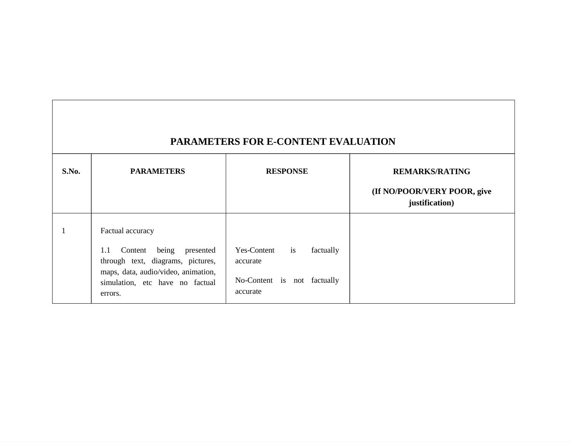| <b>PARAMETERS FOR E-CONTENT EVALUATION</b> |                                                                                                                                                             |                                                                                                   |                                               |
|--------------------------------------------|-------------------------------------------------------------------------------------------------------------------------------------------------------------|---------------------------------------------------------------------------------------------------|-----------------------------------------------|
| S.No.                                      | <b>PARAMETERS</b>                                                                                                                                           | <b>RESPONSE</b>                                                                                   | <b>REMARKS/RATING</b>                         |
|                                            |                                                                                                                                                             |                                                                                                   | (If NO/POOR/VERY POOR, give<br>justification) |
|                                            | Factual accuracy                                                                                                                                            |                                                                                                   |                                               |
|                                            | Content being<br>1.1<br>presented<br>through text, diagrams, pictures,<br>maps, data, audio/video, animation,<br>simulation, etc have no factual<br>errors. | i <sub>s</sub><br>Yes-Content<br>factually<br>accurate<br>No-Content is not factually<br>accurate |                                               |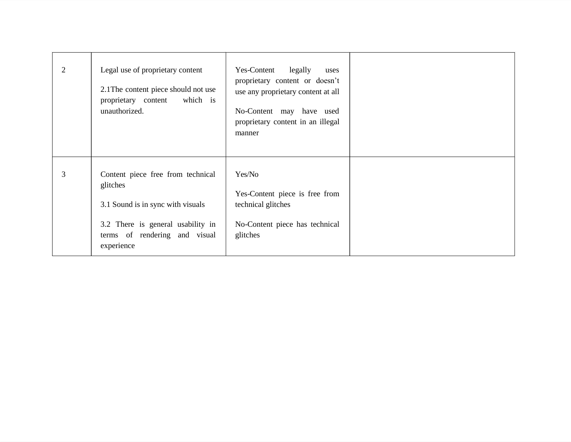| 2 | Legal use of proprietary content<br>2.1 The content piece should not use<br>proprietary content<br>which is<br>unauthorized.                                           | Yes-Content<br>legally<br>uses<br>proprietary content or doesn't<br>use any proprietary content at all<br>No-Content may have used<br>proprietary content in an illegal<br>manner |  |
|---|------------------------------------------------------------------------------------------------------------------------------------------------------------------------|-----------------------------------------------------------------------------------------------------------------------------------------------------------------------------------|--|
| 3 | Content piece free from technical<br>glitches<br>3.1 Sound is in sync with visuals<br>3.2 There is general usability in<br>terms of rendering and visual<br>experience | Yes/No<br>Yes-Content piece is free from<br>technical glitches<br>No-Content piece has technical<br>glitches                                                                      |  |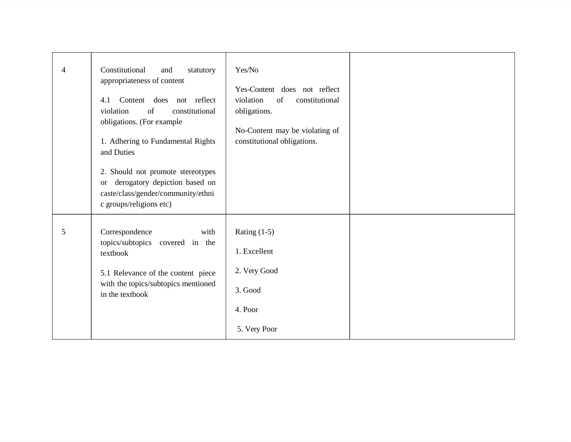| $\overline{4}$ | Constitutional<br>and<br>statutory<br>appropriateness of content<br>Content does not reflect<br>4.1<br>violation<br>constitutional<br>of<br>obligations. (For example<br>1. Adhering to Fundamental Rights<br>and Duties<br>2. Should not promote stereotypes<br>derogatory depiction based on<br><sub>or</sub><br>caste/class/gender/community/ethni<br>c groups/religions etc) | Yes/No<br>Yes-Content does not reflect<br>violation<br>of<br>constitutional<br>obligations.<br>No-Content may be violating of<br>constitutional obligations. |  |
|----------------|----------------------------------------------------------------------------------------------------------------------------------------------------------------------------------------------------------------------------------------------------------------------------------------------------------------------------------------------------------------------------------|--------------------------------------------------------------------------------------------------------------------------------------------------------------|--|
| 5              | Correspondence<br>with<br>topics/subtopics covered in the<br>textbook<br>5.1 Relevance of the content piece<br>with the topics/subtopics mentioned<br>in the textbook                                                                                                                                                                                                            | Rating $(1-5)$<br>1. Excellent<br>2. Very Good<br>3. Good<br>4. Poor<br>5. Very Poor                                                                         |  |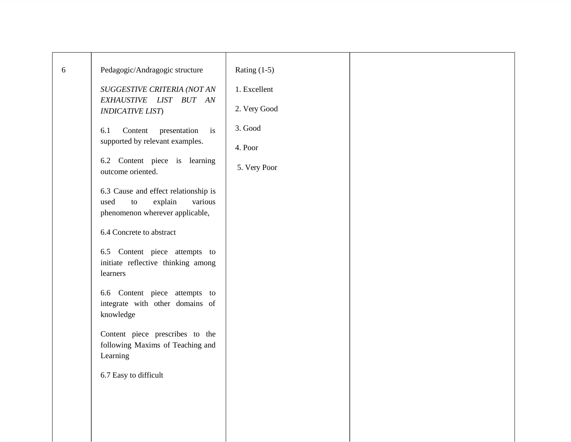| 6 | Pedagogic/Andragogic structure<br>SUGGESTIVE CRITERIA (NOT AN<br>EXHAUSTIVE LIST BUT AN<br><b>INDICATIVE LIST</b> )<br>Content<br>presentation<br>6.1<br>$\mathbf{a}$<br>supported by relevant examples.<br>6.2 Content piece is learning<br>outcome oriented.<br>6.3 Cause and effect relationship is<br>explain<br>various<br>used<br>${\rm to}$<br>phenomenon wherever applicable,<br>6.4 Concrete to abstract<br>6.5 Content piece attempts to<br>initiate reflective thinking among<br>learners<br>6.6 Content piece attempts to<br>integrate with other domains of<br>knowledge<br>Content piece prescribes to the<br>following Maxims of Teaching and<br>Learning<br>6.7 Easy to difficult | Rating $(1-5)$<br>1. Excellent<br>2. Very Good<br>3. Good<br>4. Poor<br>5. Very Poor |  |
|---|---------------------------------------------------------------------------------------------------------------------------------------------------------------------------------------------------------------------------------------------------------------------------------------------------------------------------------------------------------------------------------------------------------------------------------------------------------------------------------------------------------------------------------------------------------------------------------------------------------------------------------------------------------------------------------------------------|--------------------------------------------------------------------------------------|--|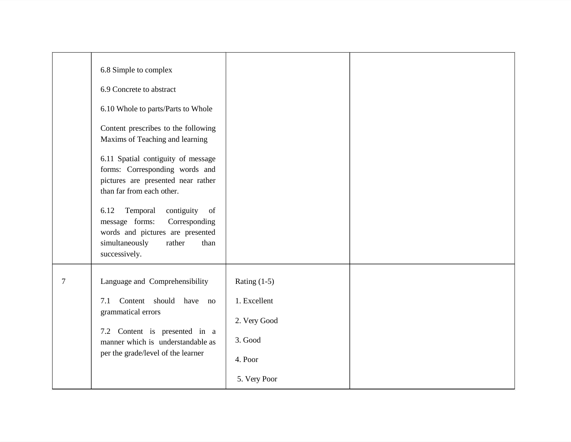|   | 6.8 Simple to complex<br>6.9 Concrete to abstract<br>6.10 Whole to parts/Parts to Whole<br>Content prescribes to the following<br>Maxims of Teaching and learning<br>6.11 Spatial contiguity of message<br>forms: Corresponding words and<br>pictures are presented near rather<br>than far from each other.<br>Temporal<br>contiguity<br>6.12<br>of<br>message forms:<br>Corresponding<br>words and pictures are presented<br>simultaneously<br>rather<br>than<br>successively. |                                                                                      |  |
|---|----------------------------------------------------------------------------------------------------------------------------------------------------------------------------------------------------------------------------------------------------------------------------------------------------------------------------------------------------------------------------------------------------------------------------------------------------------------------------------|--------------------------------------------------------------------------------------|--|
| 7 | Language and Comprehensibility<br>Content should have no<br>7.1<br>grammatical errors<br>7.2 Content is presented in a<br>manner which is understandable as<br>per the grade/level of the learner                                                                                                                                                                                                                                                                                | Rating $(1-5)$<br>1. Excellent<br>2. Very Good<br>3. Good<br>4. Poor<br>5. Very Poor |  |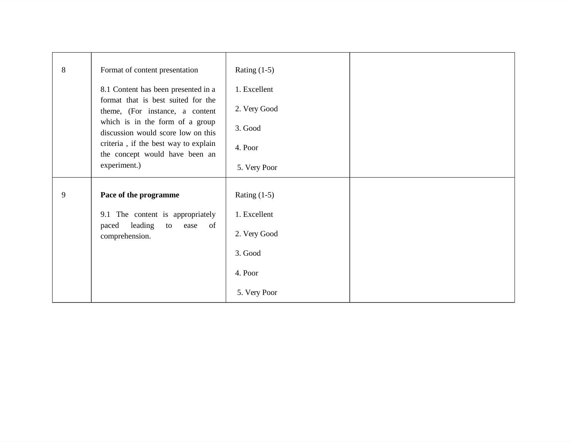| $8\,$ | Format of content presentation                                                             | Rating $(1-5)$ |  |
|-------|--------------------------------------------------------------------------------------------|----------------|--|
|       | 8.1 Content has been presented in a                                                        | 1. Excellent   |  |
|       | format that is best suited for the<br>theme, (For instance, a content                      | 2. Very Good   |  |
|       | which is in the form of a group<br>discussion would score low on this                      | 3. Good        |  |
|       | criteria, if the best way to explain<br>the concept would have been an                     | 4. Poor        |  |
|       | experiment.)                                                                               | 5. Very Poor   |  |
|       |                                                                                            |                |  |
| 9     | Pace of the programme                                                                      | Rating $(1-5)$ |  |
|       | 9.1 The content is appropriately<br>leading<br>of<br>paced<br>to<br>ease<br>comprehension. | 1. Excellent   |  |
|       |                                                                                            | 2. Very Good   |  |
|       |                                                                                            | 3. Good        |  |
|       |                                                                                            | 4. Poor        |  |
|       |                                                                                            | 5. Very Poor   |  |